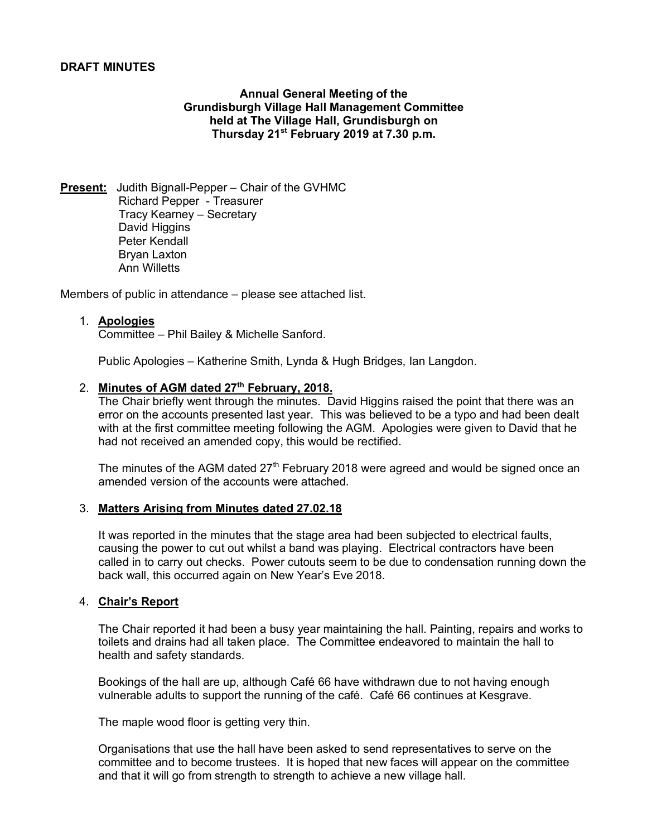# **DRAFT MINUTES**

**Annual General Meeting of the Grundisburgh Village Hall Management Committee held at The Village Hall, Grundisburgh on Thursday 21st February 2019 at 7.30 p.m.**

**Present:** Judith Bignall-Pepper – Chair of the GVHMC Richard Pepper - Treasurer Tracy Kearney – Secretary David Higgins Peter Kendall Bryan Laxton Ann Willetts

Members of public in attendance – please see attached list.

# 1. **Apologies**

Committee – Phil Bailey & Michelle Sanford.

Public Apologies – Katherine Smith, Lynda & Hugh Bridges, Ian Langdon.

# 2. **Minutes of AGM dated 27th February, 2018.**

The Chair briefly went through the minutes. David Higgins raised the point that there was an error on the accounts presented last year. This was believed to be a typo and had been dealt with at the first committee meeting following the AGM. Apologies were given to David that he had not received an amended copy, this would be rectified.

The minutes of the AGM dated  $27<sup>th</sup>$  February 2018 were agreed and would be signed once an amended version of the accounts were attached.

# 3. **Matters Arising from Minutes dated 27.02.18**

It was reported in the minutes that the stage area had been subjected to electrical faults, causing the power to cut out whilst a band was playing. Electrical contractors have been called in to carry out checks. Power cutouts seem to be due to condensation running down the back wall, this occurred again on New Year's Eve 2018.

# 4. **Chair's Report**

The Chair reported it had been a busy year maintaining the hall. Painting, repairs and works to toilets and drains had all taken place. The Committee endeavored to maintain the hall to health and safety standards.

Bookings of the hall are up, although Café 66 have withdrawn due to not having enough vulnerable adults to support the running of the café. Café 66 continues at Kesgrave.

The maple wood floor is getting very thin.

Organisations that use the hall have been asked to send representatives to serve on the committee and to become trustees. It is hoped that new faces will appear on the committee and that it will go from strength to strength to achieve a new village hall.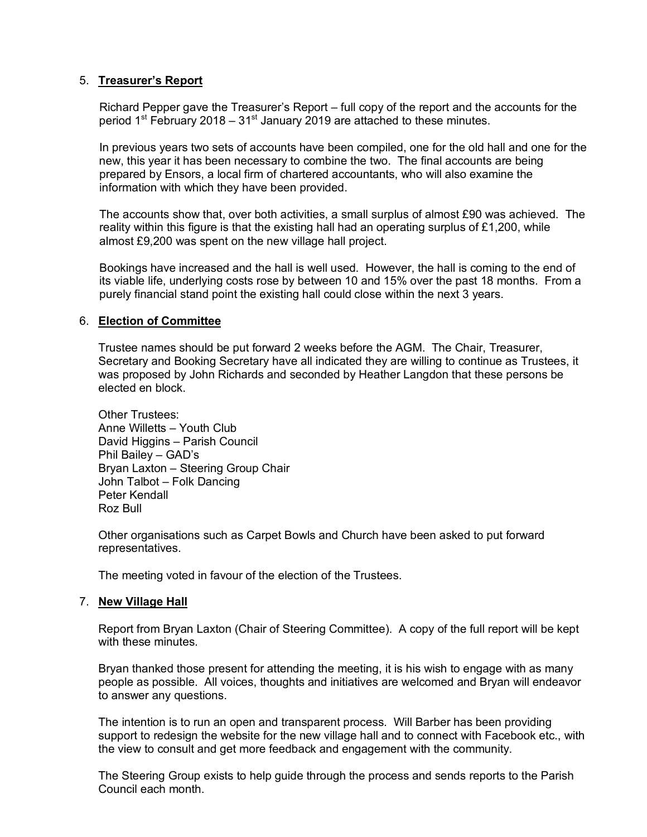# 5. **Treasurer's Report**

 Richard Pepper gave the Treasurer's Report – full copy of the report and the accounts for the period  $1<sup>st</sup>$  February 2018 –  $31<sup>st</sup>$  January 2019 are attached to these minutes.

 In previous years two sets of accounts have been compiled, one for the old hall and one for the new, this year it has been necessary to combine the two. The final accounts are being prepared by Ensors, a local firm of chartered accountants, who will also examine the information with which they have been provided.

The accounts show that, over both activities, a small surplus of almost £90 was achieved. The reality within this figure is that the existing hall had an operating surplus of  $£1,200$ , while almost £9,200 was spent on the new village hall project.

Bookings have increased and the hall is well used. However, the hall is coming to the end of its viable life, underlying costs rose by between 10 and 15% over the past 18 months. From a purely financial stand point the existing hall could close within the next 3 years.

# 6. **Election of Committee**

Trustee names should be put forward 2 weeks before the AGM. The Chair, Treasurer, Secretary and Booking Secretary have all indicated they are willing to continue as Trustees, it was proposed by John Richards and seconded by Heather Langdon that these persons be elected en block.

Other Trustees: Anne Willetts – Youth Club David Higgins – Parish Council Phil Bailey – GAD's Bryan Laxton – Steering Group Chair John Talbot – Folk Dancing Peter Kendall Roz Bull

Other organisations such as Carpet Bowls and Church have been asked to put forward representatives.

The meeting voted in favour of the election of the Trustees.

# 7. **New Village Hall**

Report from Bryan Laxton (Chair of Steering Committee). A copy of the full report will be kept with these minutes.

Bryan thanked those present for attending the meeting, it is his wish to engage with as many people as possible. All voices, thoughts and initiatives are welcomed and Bryan will endeavor to answer any questions.

The intention is to run an open and transparent process. Will Barber has been providing support to redesign the website for the new village hall and to connect with Facebook etc., with the view to consult and get more feedback and engagement with the community.

The Steering Group exists to help guide through the process and sends reports to the Parish Council each month.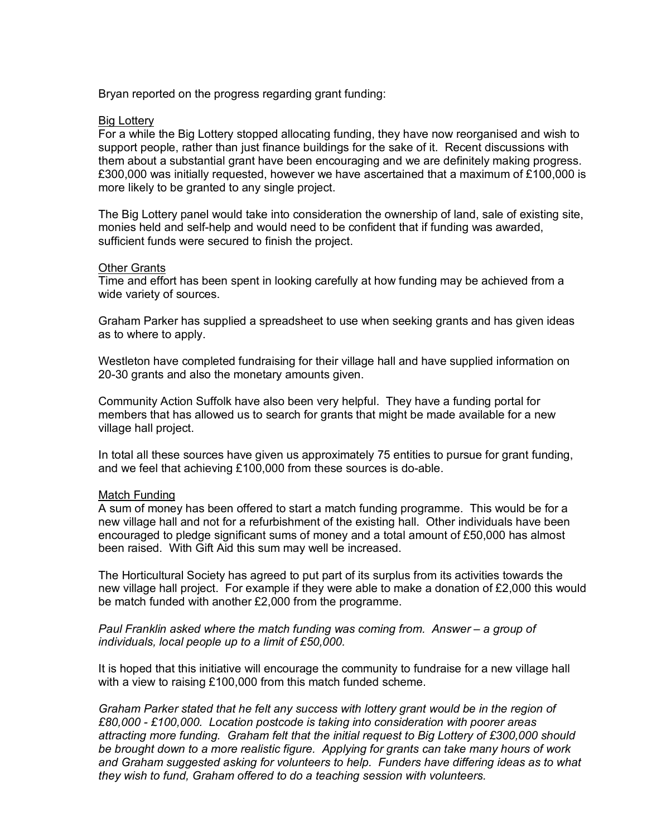Bryan reported on the progress regarding grant funding:

#### Big Lottery

For a while the Big Lottery stopped allocating funding, they have now reorganised and wish to support people, rather than just finance buildings for the sake of it. Recent discussions with them about a substantial grant have been encouraging and we are definitely making progress. £300,000 was initially requested, however we have ascertained that a maximum of £100,000 is more likely to be granted to any single project.

The Big Lottery panel would take into consideration the ownership of land, sale of existing site, monies held and self-help and would need to be confident that if funding was awarded, sufficient funds were secured to finish the project.

#### Other Grants

Time and effort has been spent in looking carefully at how funding may be achieved from a wide variety of sources.

Graham Parker has supplied a spreadsheet to use when seeking grants and has given ideas as to where to apply.

Westleton have completed fundraising for their village hall and have supplied information on 20-30 grants and also the monetary amounts given.

Community Action Suffolk have also been very helpful. They have a funding portal for members that has allowed us to search for grants that might be made available for a new village hall project.

In total all these sources have given us approximately 75 entities to pursue for grant funding, and we feel that achieving £100,000 from these sources is do-able.

# Match Funding

A sum of money has been offered to start a match funding programme. This would be for a new village hall and not for a refurbishment of the existing hall. Other individuals have been encouraged to pledge significant sums of money and a total amount of £50,000 has almost been raised. With Gift Aid this sum may well be increased.

The Horticultural Society has agreed to put part of its surplus from its activities towards the new village hall project. For example if they were able to make a donation of £2,000 this would be match funded with another £2,000 from the programme.

*Paul Franklin asked where the match funding was coming from. Answer – a group of individuals, local people up to a limit of £50,000.*

It is hoped that this initiative will encourage the community to fundraise for a new village hall with a view to raising £100,000 from this match funded scheme.

*Graham Parker stated that he felt any success with lottery grant would be in the region of £80,000 - £100,000. Location postcode is taking into consideration with poorer areas attracting more funding. Graham felt that the initial request to Big Lottery of £300,000 should be brought down to a more realistic figure. Applying for grants can take many hours of work and Graham suggested asking for volunteers to help. Funders have differing ideas as to what they wish to fund, Graham offered to do a teaching session with volunteers.*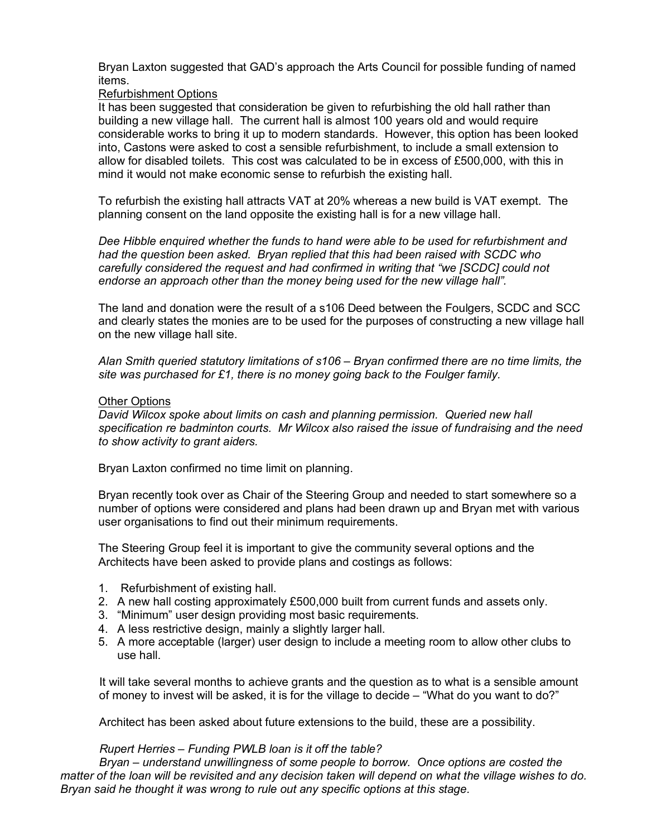Bryan Laxton suggested that GAD's approach the Arts Council for possible funding of named items.

# Refurbishment Options

It has been suggested that consideration be given to refurbishing the old hall rather than building a new village hall. The current hall is almost 100 years old and would require considerable works to bring it up to modern standards. However, this option has been looked into, Castons were asked to cost a sensible refurbishment, to include a small extension to allow for disabled toilets. This cost was calculated to be in excess of £500,000, with this in mind it would not make economic sense to refurbish the existing hall.

To refurbish the existing hall attracts VAT at 20% whereas a new build is VAT exempt. The planning consent on the land opposite the existing hall is for a new village hall.

*Dee Hibble enquired whether the funds to hand were able to be used for refurbishment and had the question been asked. Bryan replied that this had been raised with SCDC who carefully considered the request and had confirmed in writing that "we [SCDC] could not endorse an approach other than the money being used for the new village hall".*

The land and donation were the result of a s106 Deed between the Foulgers, SCDC and SCC and clearly states the monies are to be used for the purposes of constructing a new village hall on the new village hall site.

*Alan Smith queried statutory limitations of s106 – Bryan confirmed there are no time limits, the site was purchased for £1, there is no money going back to the Foulger family.*

# Other Options

*David Wilcox spoke about limits on cash and planning permission. Queried new hall specification re badminton courts. Mr Wilcox also raised the issue of fundraising and the need to show activity to grant aiders.*

Bryan Laxton confirmed no time limit on planning.

Bryan recently took over as Chair of the Steering Group and needed to start somewhere so a number of options were considered and plans had been drawn up and Bryan met with various user organisations to find out their minimum requirements.

The Steering Group feel it is important to give the community several options and the Architects have been asked to provide plans and costings as follows:

- 1. Refurbishment of existing hall.
- 2. A new hall costing approximately £500,000 built from current funds and assets only.
- 3. "Minimum" user design providing most basic requirements.
- 4. A less restrictive design, mainly a slightly larger hall.
- 5. A more acceptable (larger) user design to include a meeting room to allow other clubs to use hall.

 It will take several months to achieve grants and the question as to what is a sensible amount of money to invest will be asked, it is for the village to decide – "What do you want to do?"

Architect has been asked about future extensions to the build, these are a possibility.

# *Rupert Herries – Funding PWLB loan is it off the table?*

 *Bryan – understand unwillingness of some people to borrow. Once options are costed the matter of the loan will be revisited and any decision taken will depend on what the village wishes to do. Bryan said he thought it was wrong to rule out any specific options at this stage.*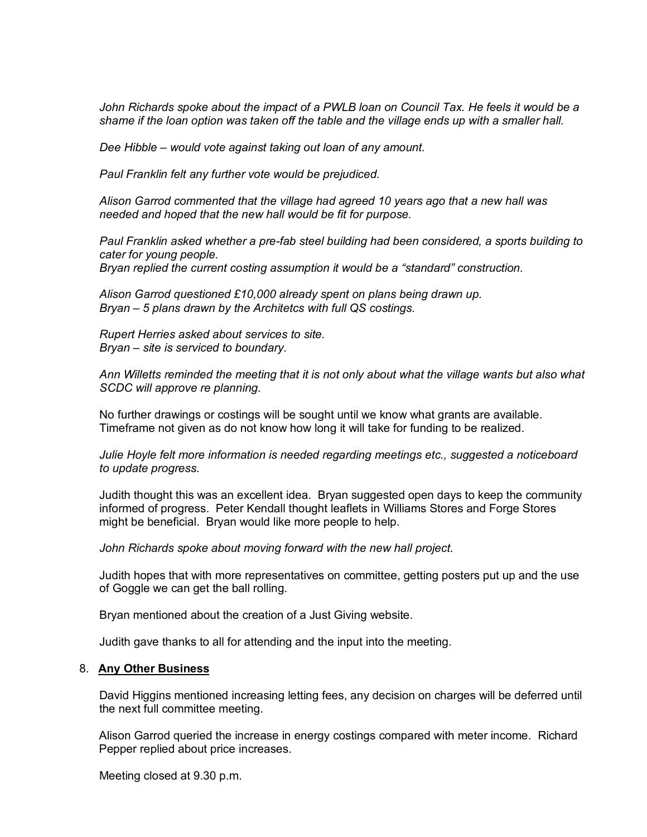*John Richards spoke about the impact of a PWLB loan on Council Tax. He feels it would be a shame if the loan option was taken off the table and the village ends up with a smaller hall.*

*Dee Hibble – would vote against taking out loan of any amount.* 

*Paul Franklin felt any further vote would be prejudiced.*

*Alison Garrod commented that the village had agreed 10 years ago that a new hall was needed and hoped that the new hall would be fit for purpose.*

*Paul Franklin asked whether a pre-fab steel building had been considered, a sports building to cater for young people.*

*Bryan replied the current costing assumption it would be a "standard" construction.*

*Alison Garrod questioned £10,000 already spent on plans being drawn up. Bryan – 5 plans drawn by the Architetcs with full QS costings.*

*Rupert Herries asked about services to site. Bryan – site is serviced to boundary.*

*Ann Willetts reminded the meeting that it is not only about what the village wants but also what SCDC will approve re planning.*

No further drawings or costings will be sought until we know what grants are available. Timeframe not given as do not know how long it will take for funding to be realized.

*Julie Hoyle felt more information is needed regarding meetings etc., suggested a noticeboard to update progress.*

Judith thought this was an excellent idea. Bryan suggested open days to keep the community informed of progress. Peter Kendall thought leaflets in Williams Stores and Forge Stores might be beneficial. Bryan would like more people to help.

*John Richards spoke about moving forward with the new hall project.*

Judith hopes that with more representatives on committee, getting posters put up and the use of Goggle we can get the ball rolling.

Bryan mentioned about the creation of a Just Giving website.

Judith gave thanks to all for attending and the input into the meeting.

# 8. **Any Other Business**

 David Higgins mentioned increasing letting fees, any decision on charges will be deferred until the next full committee meeting.

 Alison Garrod queried the increase in energy costings compared with meter income. Richard Pepper replied about price increases.

Meeting closed at 9.30 p.m.